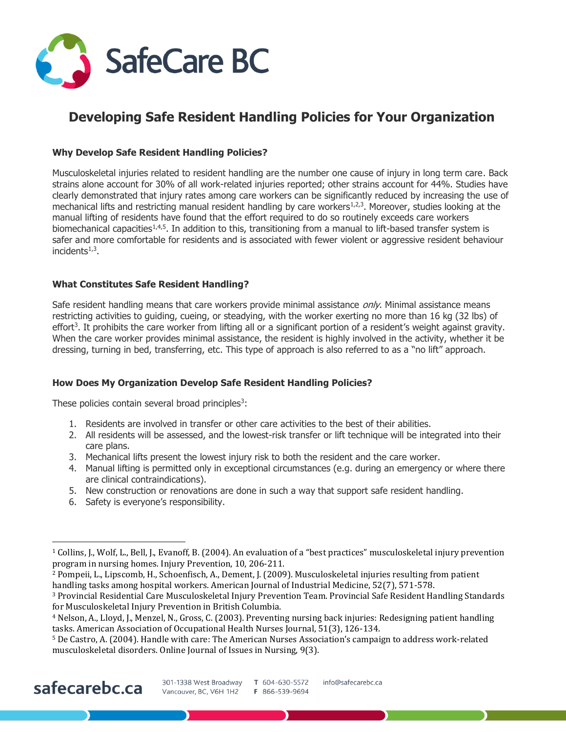

## **Developing Safe Resident Handling Policies for Your Organization**

### **Why Develop Safe Resident Handling Policies?**

Musculoskeletal injuries related to resident handling are the number one cause of injury in long term care. Back strains alone account for 30% of all work-related injuries reported; other strains account for 44%. Studies have clearly demonstrated that injury rates among care workers can be significantly reduced by increasing the use of mechanical lifts and restricting manual resident handling by care workers<sup>1,2,3</sup>. Moreover, studies looking at the manual lifting of residents have found that the effort required to do so routinely exceeds care workers biomechanical capacities<sup>1,4,5</sup>. In addition to this, transitioning from a manual to lift-based transfer system is safer and more comfortable for residents and is associated with fewer violent or aggressive resident behaviour incidents $1,3$ .

#### **What Constitutes Safe Resident Handling?**

Safe resident handling means that care workers provide minimal assistance *only*. Minimal assistance means restricting activities to guiding, cueing, or steadying, with the worker exerting no more than 16 kg (32 lbs) of effort<sup>3</sup>. It prohibits the care worker from lifting all or a significant portion of a resident's weight against gravity. When the care worker provides minimal assistance, the resident is highly involved in the activity, whether it be dressing, turning in bed, transferring, etc. This type of approach is also referred to as a "no lift" approach.

#### **How Does My Organization Develop Safe Resident Handling Policies?**

These policies contain several broad principles<sup>3</sup>:

- 1. Residents are involved in transfer or other care activities to the best of their abilities.
- 2. All residents will be assessed, and the lowest-risk transfer or lift technique will be integrated into their care plans.
- 3. Mechanical lifts present the lowest injury risk to both the resident and the care worker.
- 4. Manual lifting is permitted only in exceptional circumstances (e.g. during an emergency or where there are clinical contraindications).
- 5. New construction or renovations are done in such a way that support safe resident handling.
- 6. Safety is everyone's responsibility.

# safecarebc.ca

 $\overline{a}$ 

<sup>1</sup> Collins, J., Wolf, L., Bell, J., Evanoff, B. (2004). An evaluation of a "best practices" musculoskeletal injury prevention program in nursing homes. Injury Prevention, 10, 206-211.

<sup>2</sup> Pompeii, L., Lipscomb, H., Schoenfisch, A., Dement, J. (2009). Musculoskeletal injuries resulting from patient handling tasks among hospital workers. American Journal of Industrial Medicine, 52(7), 571-578.

<sup>3</sup> Provincial Residential Care Musculoskeletal Injury Prevention Team. Provincial Safe Resident Handling Standards for Musculoskeletal Injury Prevention in British Columbia.

<sup>4</sup> Nelson, A., Lloyd, J., Menzel, N., Gross, C. (2003). Preventing nursing back injuries: Redesigning patient handling tasks. American Association of Occupational Health Nurses Journal, 51(3), 126-134.

<sup>5</sup> De Castro, A. (2004). Handle with care: The American Nurses Association's campaign to address work-related musculoskeletal disorders. Online Journal of Issues in Nursing, 9(3).